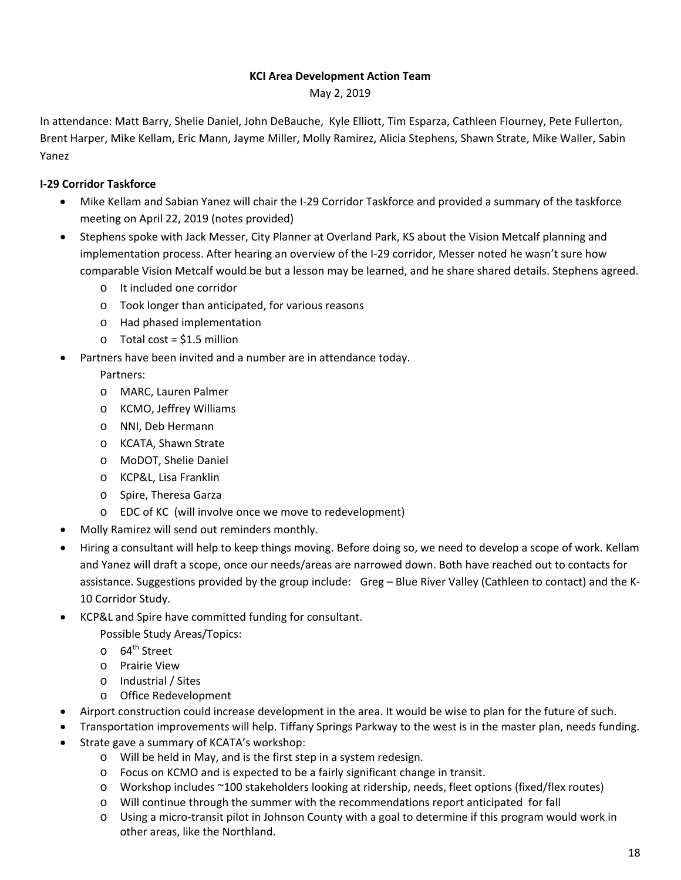#### **KCI Area Development Action Team**

May 2, 2019

In attendance: Matt Barry, Shelie Daniel, John DeBauche, Kyle Elliott, Tim Esparza, Cathleen Flourney, Pete Fullerton, Brent Harper, Mike Kellam, Eric Mann, Jayme Miller, Molly Ramirez, Alicia Stephens, Shawn Strate, Mike Waller, Sabin Yanez

#### **I‐29 Corridor Taskforce**

- Mike Kellam and Sabian Yanez will chair the I‐29 Corridor Taskforce and provided a summary of the taskforce meeting on April 22, 2019 (notes provided)
- Stephens spoke with Jack Messer, City Planner at Overland Park, KS about the Vision Metcalf planning and implementation process. After hearing an overview of the I‐29 corridor, Messer noted he wasn't sure how comparable Vision Metcalf would be but a lesson may be learned, and he share shared details. Stephens agreed.
	- o It included one corridor
	- o Took longer than anticipated, for various reasons
	- o Had phased implementation
	- $\circ$  Total cost = \$1.5 million
- Partners have been invited and a number are in attendance today.

Partners:

- o MARC, Lauren Palmer
- o KCMO, Jeffrey Williams
- o NNI, Deb Hermann
- o KCATA, Shawn Strate
- o MoDOT, Shelie Daniel
- o KCP&L, Lisa Franklin
- o Spire, Theresa Garza
- o EDC of KC (will involve once we move to redevelopment)
- Molly Ramirez will send out reminders monthly.
- Hiring a consultant will help to keep things moving. Before doing so, we need to develop a scope of work. Kellam and Yanez will draft a scope, once our needs/areas are narrowed down. Both have reached out to contacts for assistance. Suggestions provided by the group include: Greg – Blue River Valley (Cathleen to contact) and the K‐ 10 Corridor Study.
- KCP&L and Spire have committed funding for consultant.

Possible Study Areas/Topics:

- $\circ$  64<sup>th</sup> Street
- o Prairie View
- o Industrial / Sites
- o Office Redevelopment
- Airport construction could increase development in the area. It would be wise to plan for the future of such.
- Transportation improvements will help. Tiffany Springs Parkway to the west is in the master plan, needs funding.
- Strate gave a summary of KCATA's workshop:
	- o Will be held in May, and is the first step in a system redesign.
	- o Focus on KCMO and is expected to be a fairly significant change in transit.
	- o Workshop includes ~100 stakeholders looking at ridership, needs, fleet options (fixed/flex routes)
	- o Will continue through the summer with the recommendations report anticipated for fall
	- o Using a micro‐transit pilot in Johnson County with a goal to determine if this program would work in other areas, like the Northland.